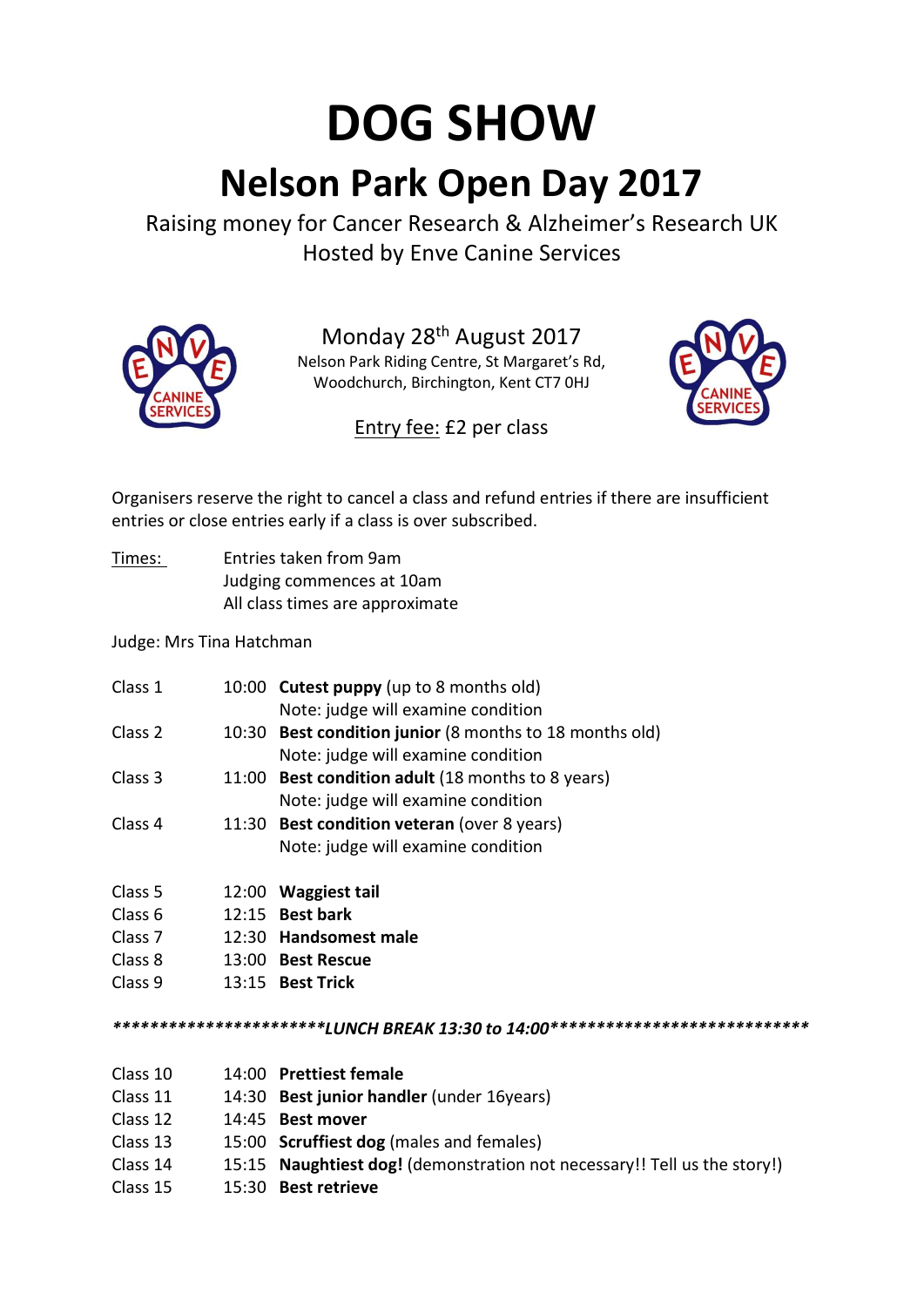## DOG SHOW Nelson Park Open Day 2017

Raising money for Cancer Research & Alzheimer's Research UK Hosted by Enve Canine Services



Monday 28th August 2017 Nelson Park Riding Centre, St Margaret's Rd, Woodchurch, Birchington, Kent CT7 0HJ



Entry fee: £2 per class

Organisers reserve the right to cancel a class and refund entries if there are insufficient entries or close entries early if a class is over subscribed.

Times: Entries taken from 9am Judging commences at 10am All class times are approximate

Judge: Mrs Tina Hatchman

| 10:00                                                                          | <b>Cutest puppy</b> (up to 8 months old)                |  |  |
|--------------------------------------------------------------------------------|---------------------------------------------------------|--|--|
|                                                                                | Note: judge will examine condition                      |  |  |
|                                                                                | 10:30 Best condition junior (8 months to 18 months old) |  |  |
|                                                                                | Note: judge will examine condition                      |  |  |
|                                                                                | 11:00 Best condition adult (18 months to 8 years)       |  |  |
|                                                                                | Note: judge will examine condition                      |  |  |
|                                                                                | 11:30 Best condition veteran (over 8 years)             |  |  |
|                                                                                | Note: judge will examine condition                      |  |  |
| 12:00                                                                          | Waggiest tail                                           |  |  |
| 12:15                                                                          | <b>Best bark</b>                                        |  |  |
| 12:30                                                                          | <b>Handsomest male</b>                                  |  |  |
| 13:00                                                                          | <b>Best Rescue</b>                                      |  |  |
| 13:15                                                                          | <b>Best Trick</b>                                       |  |  |
| ************************LUNCH BREAK 13:30 to 14:00**************************** |                                                         |  |  |
|                                                                                | 14:00 Prettiest female                                  |  |  |
|                                                                                | 14:30 Best junior handler (under 16years)               |  |  |
|                                                                                |                                                         |  |  |

- Class 12 14:45 Best mover
- Class 13 15:00 Scruffiest dog (males and females)
- Class 14 15:15 Naughtiest dog! (demonstration not necessary!! Tell us the story!)
- Class 15 15:30 Best retrieve